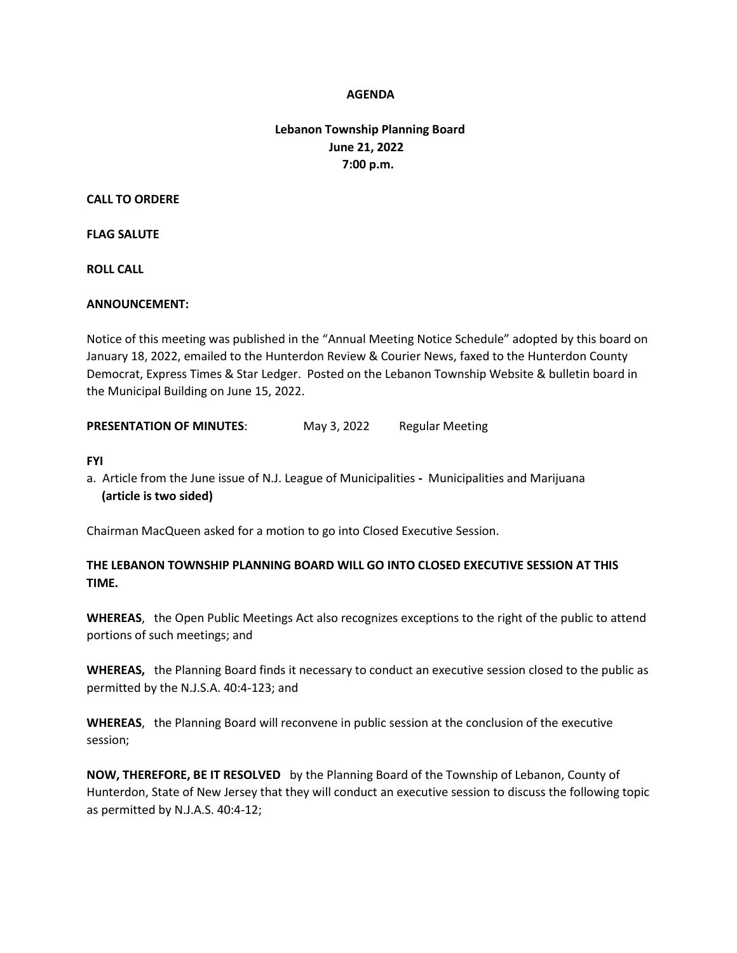### **AGENDA**

# **Lebanon Township Planning Board June 21, 2022 7:00 p.m.**

#### **CALL TO ORDERE**

### **FLAG SALUTE**

**ROLL CALL**

### **ANNOUNCEMENT:**

Notice of this meeting was published in the "Annual Meeting Notice Schedule" adopted by this board on January 18, 2022, emailed to the Hunterdon Review & Courier News, faxed to the Hunterdon County Democrat, Express Times & Star Ledger. Posted on the Lebanon Township Website & bulletin board in the Municipal Building on June 15, 2022.

**PRESENTATION OF MINUTES:** May 3, 2022 Regular Meeting

#### **FYI**

a. Article from the June issue of N.J. League of Municipalities **-** Municipalities and Marijuana  **(article is two sided)**

Chairman MacQueen asked for a motion to go into Closed Executive Session.

# **THE LEBANON TOWNSHIP PLANNING BOARD WILL GO INTO CLOSED EXECUTIVE SESSION AT THIS TIME.**

**WHEREAS**, the Open Public Meetings Act also recognizes exceptions to the right of the public to attend portions of such meetings; and

**WHEREAS,** the Planning Board finds it necessary to conduct an executive session closed to the public as permitted by the N.J.S.A. 40:4-123; and

**WHEREAS**, the Planning Board will reconvene in public session at the conclusion of the executive session;

**NOW, THEREFORE, BE IT RESOLVED** by the Planning Board of the Township of Lebanon, County of Hunterdon, State of New Jersey that they will conduct an executive session to discuss the following topic as permitted by N.J.A.S. 40:4-12;